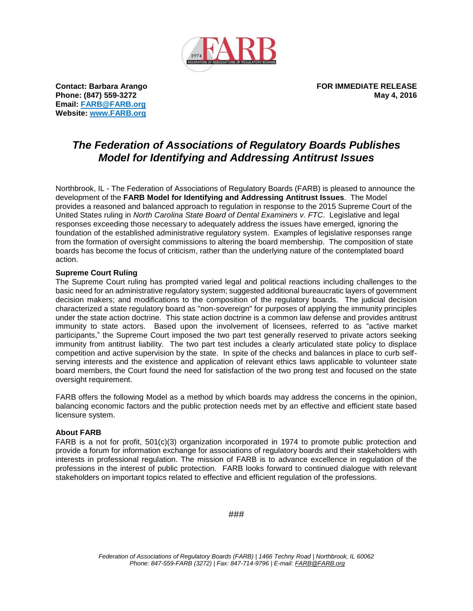

**Email: [FARB@FARB.org](mailto:FARB@FARB.org) Website: [www.FARB.org](http://www.farb.org/)**

**Contact: Barbara Arango FOR IMMEDIATE RELEASE Phone: (847) 559-3272 May 4, 2016**

## *The Federation of Associations of Regulatory Boards Publishes Model for Identifying and Addressing Antitrust Issues*

Northbrook, IL - The Federation of Associations of Regulatory Boards (FARB) is pleased to announce the development of the **FARB Model for Identifying and Addressing Antitrust Issues**. The Model provides a reasoned and balanced approach to regulation in response to the 2015 Supreme Court of the United States ruling in *North Carolina State Board of Dental Examiners v. FTC*. Legislative and legal responses exceeding those necessary to adequately address the issues have emerged, ignoring the foundation of the established administrative regulatory system. Examples of legislative responses range from the formation of oversight commissions to altering the board membership. The composition of state boards has become the focus of criticism, rather than the underlying nature of the contemplated board action.

### **Supreme Court Ruling**

The Supreme Court ruling has prompted varied legal and political reactions including challenges to the basic need for an administrative regulatory system; suggested additional bureaucratic layers of government decision makers; and modifications to the composition of the regulatory boards. The judicial decision characterized a state regulatory board as "non-sovereign" for purposes of applying the immunity principles under the state action doctrine. This state action doctrine is a common law defense and provides antitrust immunity to state actors. Based upon the involvement of licensees, referred to as "active market participants," the Supreme Court imposed the two part test generally reserved to private actors seeking immunity from antitrust liability. The two part test includes a clearly articulated state policy to displace competition and active supervision by the state. In spite of the checks and balances in place to curb selfserving interests and the existence and application of relevant ethics laws applicable to volunteer state board members, the Court found the need for satisfaction of the two prong test and focused on the state oversight requirement.

FARB offers the following Model as a method by which boards may address the concerns in the opinion, balancing economic factors and the public protection needs met by an effective and efficient state based licensure system.

### **About FARB**

FARB is a not for profit, 501(c)(3) organization incorporated in 1974 to promote public protection and provide a forum for information exchange for associations of regulatory boards and their stakeholders with interests in professional regulation. The mission of FARB is to advance excellence in regulation of the professions in the interest of public protection. FARB looks forward to continued dialogue with relevant stakeholders on important topics related to effective and efficient regulation of the professions.

###

*Federation of Associations of Regulatory Boards (FARB) | 1466 Techny Road | Northbrook, IL 60062 Phone: 847-559-FARB (3272) | Fax: 847-714-9796 | E-mail: [FARB@FARB.org](mailto:FARB@FARB.org)*